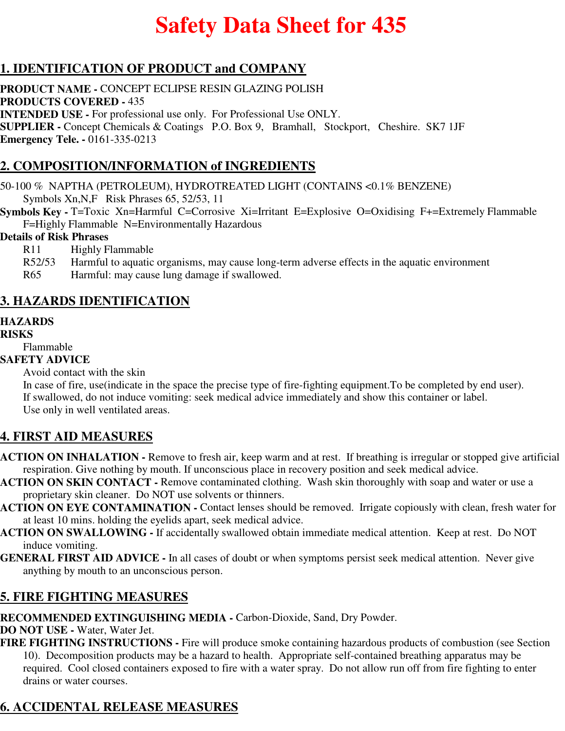# **Safety Data Sheet for 435**

# **1. IDENTIFICATION OF PRODUCT and COMPANY**

**PRODUCT NAME -** CONCEPT ECLIPSE RESIN GLAZING POLISH **PRODUCTS COVERED -** 435 **INTENDED USE -** For professional use only. For Professional Use ONLY. **SUPPLIER -** Concept Chemicals & Coatings P.O. Box 9, Bramhall, Stockport, Cheshire. SK7 1JF **Emergency Tele. -** 0161-335-0213

# **2. COMPOSITION/INFORMATION of INGREDIENTS**

50-100 % NAPTHA (PETROLEUM), HYDROTREATED LIGHT (CONTAINS <0.1% BENZENE) Symbols Xn,N,F Risk Phrases 65, 52/53, 11

**Symbols Key - T=Toxic Xn=Harmful C=Corrosive Xi=Irritant E=Explosive O=Oxidising F+=Extremely Flammable** F=Highly Flammable N=Environmentally Hazardous

#### **Details of Risk Phrases**

- R11 Highly Flammable
- R52/53 Harmful to aquatic organisms, may cause long-term adverse effects in the aquatic environment
- R65 Harmful: may cause lung damage if swallowed.

## **3. HAZARDS IDENTIFICATION**

### **HAZARDS**

**RISKS**

Flammable

#### **SAFETY ADVICE**

Avoid contact with the skin

In case of fire, use(indicate in the space the precise type of fire-fighting equipment.To be completed by end user). If swallowed, do not induce vomiting: seek medical advice immediately and show this container or label. Use only in well ventilated areas.

## **4. FIRST AID MEASURES**

- **ACTION ON INHALATION** Remove to fresh air, keep warm and at rest. If breathing is irregular or stopped give artificial respiration. Give nothing by mouth. If unconscious place in recovery position and seek medical advice.
- **ACTION ON SKIN CONTACT** Remove contaminated clothing. Wash skin thoroughly with soap and water or use a proprietary skin cleaner. Do NOT use solvents or thinners.
- **ACTION ON EYE CONTAMINATION** Contact lenses should be removed. Irrigate copiously with clean, fresh water for at least 10 mins. holding the eyelids apart, seek medical advice.
- **ACTION ON SWALLOWING** If accidentally swallowed obtain immediate medical attention. Keep at rest. Do NOT induce vomiting.
- **GENERAL FIRST AID ADVICE** In all cases of doubt or when symptoms persist seek medical attention. Never give anything by mouth to an unconscious person.

## **5. FIRE FIGHTING MEASURES**

**RECOMMENDED EXTINGUISHING MEDIA -** Carbon-Dioxide, Sand, Dry Powder.

**DO NOT USE -** Water, Water Jet.

**FIRE FIGHTING INSTRUCTIONS -** Fire will produce smoke containing hazardous products of combustion (see Section 10). Decomposition products may be a hazard to health. Appropriate self-contained breathing apparatus may be required. Cool closed containers exposed to fire with a water spray. Do not allow run off from fire fighting to enter drains or water courses.

# **6. ACCIDENTAL RELEASE MEASURES**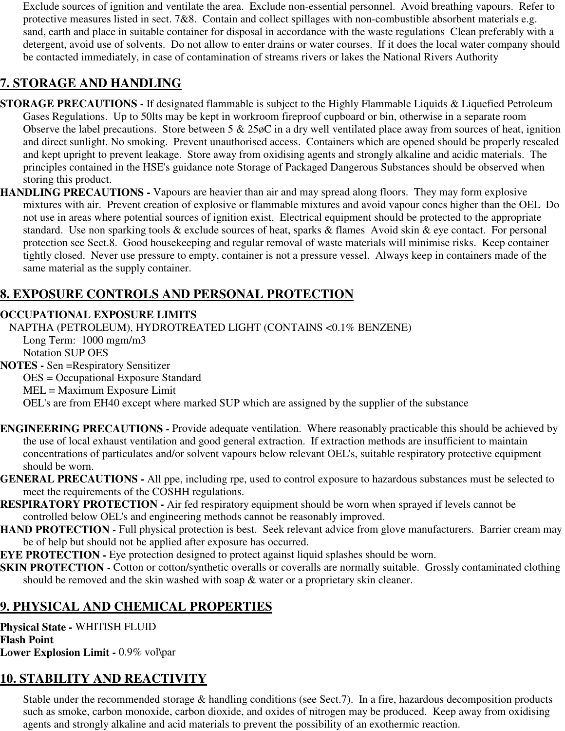Exclude sources of ignition and ventilate the area. Exclude non-essential personnel. Avoid breathing vapours. Refer to protective measures listed in sect. 7&8. Contain and collect spillages with non-combustible absorbent materials e.g. sand, earth and place in suitable container for disposal in accordance with the waste regulations Clean preferably with a detergent, avoid use of solvents. Do not allow to enter drains or water courses. If it does the local water company should be contacted immediately, in case of contamination of streams rivers or lakes the National Rivers Authority

# **7. STORAGE AND HANDLING**

- **STORAGE PRECAUTIONS** If designated flammable is subject to the Highly Flammable Liquids & Liquefied Petroleum Gases Regulations. Up to 50lts may be kept in workroom fireproof cupboard or bin, otherwise in a separate room Observe the label precautions. Store between 5 & 25øC in a dry well ventilated place away from sources of heat, ignition and direct sunlight. No smoking. Prevent unauthorised access. Containers which are opened should be properly resealed and kept upright to prevent leakage. Store away from oxidising agents and strongly alkaline and acidic materials. The principles contained in the HSE's guidance note Storage of Packaged Dangerous Substances should be observed when storing this product.
- **HANDLING PRECAUTIONS** Vapours are heavier than air and may spread along floors. They may form explosive mixtures with air. Prevent creation of explosive or flammable mixtures and avoid vapour concs higher than the OEL Do not use in areas where potential sources of ignition exist. Electrical equipment should be protected to the appropriate standard. Use non sparking tools & exclude sources of heat, sparks & flames Avoid skin & eye contact. For personal protection see Sect.8. Good housekeeping and regular removal of waste materials will minimise risks. Keep container tightly closed. Never use pressure to empty, container is not a pressure vessel. Always keep in containers made of the same material as the supply container.

# **8. EXPOSURE CONTROLS AND PERSONAL PROTECTION**

#### **OCCUPATIONAL EXPOSURE LIMITS**

NAPTHA (PETROLEUM), HYDROTREATED LIGHT (CONTAINS <0.1% BENZENE) Long Term: 1000 mgm/m3 Notation SUP OES **NOTES -** Sen =Respiratory Sensitizer OES = Occupational Exposure Standard

MEL = Maximum Exposure Limit

OEL's are from EH40 except where marked SUP which are assigned by the supplier of the substance

- **ENGINEERING PRECAUTIONS** Provide adequate ventilation. Where reasonably practicable this should be achieved by the use of local exhaust ventilation and good general extraction. If extraction methods are insufficient to maintain concentrations of particulates and/or solvent vapours below relevant OEL's, suitable respiratory protective equipment should be worn.
- **GENERAL PRECAUTIONS** All ppe, including rpe, used to control exposure to hazardous substances must be selected to meet the requirements of the COSHH regulations.
- **RESPIRATORY PROTECTION** Air fed respiratory equipment should be worn when sprayed if levels cannot be controlled below OEL's and engineering methods cannot be reasonably improved.
- **HAND PROTECTION Full physical protection is best. Seek relevant advice from glove manufacturers. Barrier cream may** be of help but should not be applied after exposure has occurred.

**EYE PROTECTION -** Eye protection designed to protect against liquid splashes should be worn.

**SKIN PROTECTION -** Cotton or cotton/synthetic overalls or coveralls are normally suitable. Grossly contaminated clothing should be removed and the skin washed with soap & water or a proprietary skin cleaner.

# **9. PHYSICAL AND CHEMICAL PROPERTIES**

**Physical State -** WHITISH FLUID **Flash Point Lower Explosion Limit -** 0.9% vol\par

# **10. STABILITY AND REACTIVITY**

Stable under the recommended storage & handling conditions (see Sect.7). In a fire, hazardous decomposition products such as smoke, carbon monoxide, carbon dioxide, and oxides of nitrogen may be produced. Keep away from oxidising agents and strongly alkaline and acid materials to prevent the possibility of an exothermic reaction.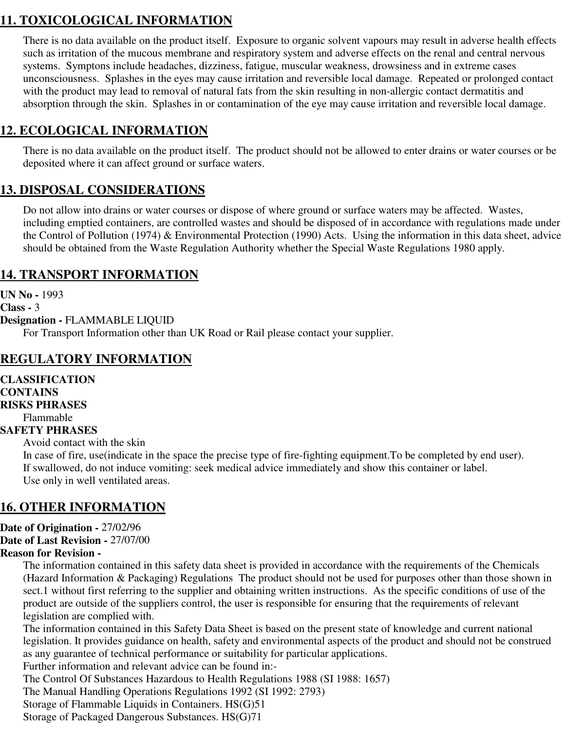# **11. TOXICOLOGICAL INFORMATION**

There is no data available on the product itself. Exposure to organic solvent vapours may result in adverse health effects such as irritation of the mucous membrane and respiratory system and adverse effects on the renal and central nervous systems. Symptons include headaches, dizziness, fatigue, muscular weakness, drowsiness and in extreme cases unconsciousness. Splashes in the eyes may cause irritation and reversible local damage. Repeated or prolonged contact with the product may lead to removal of natural fats from the skin resulting in non-allergic contact dermatitis and absorption through the skin. Splashes in or contamination of the eye may cause irritation and reversible local damage.

# **12. ECOLOGICAL INFORMATION**

There is no data available on the product itself. The product should not be allowed to enter drains or water courses or be deposited where it can affect ground or surface waters.

# **13. DISPOSAL CONSIDERATIONS**

Do not allow into drains or water courses or dispose of where ground or surface waters may be affected. Wastes, including emptied containers, are controlled wastes and should be disposed of in accordance with regulations made under the Control of Pollution (1974) & Environmental Protection (1990) Acts. Using the information in this data sheet, advice should be obtained from the Waste Regulation Authority whether the Special Waste Regulations 1980 apply.

## **14. TRANSPORT INFORMATION**

**UN No -** 1993 **Class -** 3 **Designation -** FLAMMABLE LIQUID For Transport Information other than UK Road or Rail please contact your supplier.

## **REGULATORY INFORMATION**

# **CLASSIFICATION**

**CONTAINS RISKS PHRASES**

Flammable

#### **SAFETY PHRASES**

Avoid contact with the skin

In case of fire, use(indicate in the space the precise type of fire-fighting equipment.To be completed by end user). If swallowed, do not induce vomiting: seek medical advice immediately and show this container or label. Use only in well ventilated areas.

## **16. OTHER INFORMATION**

# **Date of Origination -** 27/02/96 **Date of Last Revision -** 27/07/00

#### **Reason for Revision -**

The information contained in this safety data sheet is provided in accordance with the requirements of the Chemicals (Hazard Information & Packaging) Regulations The product should not be used for purposes other than those shown in sect.1 without first referring to the supplier and obtaining written instructions. As the specific conditions of use of the product are outside of the suppliers control, the user is responsible for ensuring that the requirements of relevant legislation are complied with.

The information contained in this Safety Data Sheet is based on the present state of knowledge and current national legislation. It provides guidance on health, safety and environmental aspects of the product and should not be construed as any guarantee of technical performance or suitability for particular applications.

Further information and relevant advice can be found in:-

The Control Of Substances Hazardous to Health Regulations 1988 (SI 1988: 1657)

The Manual Handling Operations Regulations 1992 (SI 1992: 2793)

Storage of Flammable Liquids in Containers. HS(G)51

Storage of Packaged Dangerous Substances. HS(G)71